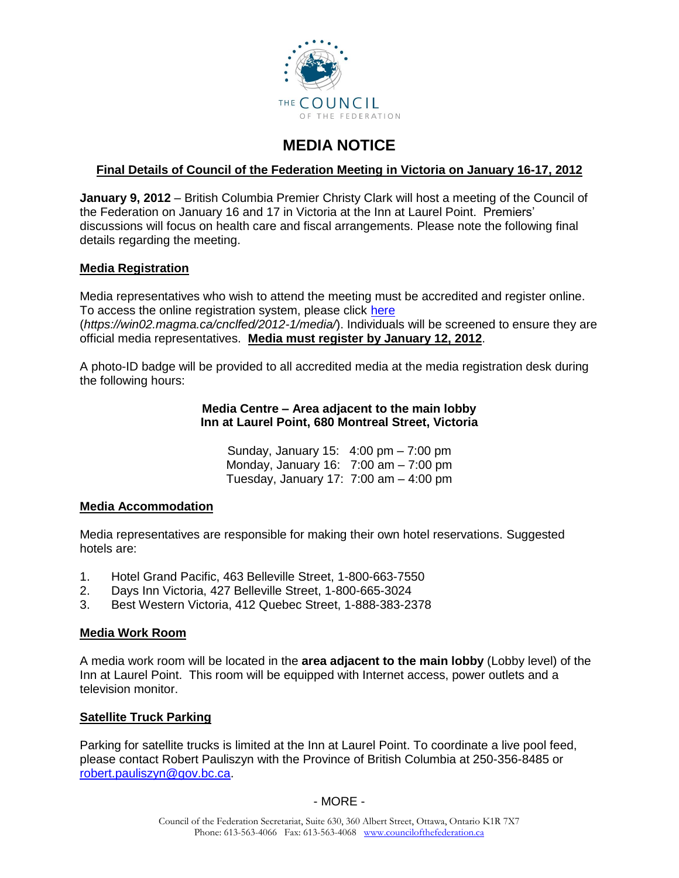

# **MEDIA NOTICE**

# **Final Details of Council of the Federation Meeting in Victoria on January 16-17, 2012**

**January 9, 2012** – British Columbia Premier Christy Clark will host a meeting of the Council of the Federation on January 16 and 17 in Victoria at the Inn at Laurel Point. Premiers' discussions will focus on health care and fiscal arrangements. Please note the following final details regarding the meeting.

## **Media Registration**

Media representatives who wish to attend the meeting must be accredited and register online. To access the online registration system, please click [here](https://win02.magma.ca/cnclfed/2012-1/media/) (*https://win02.magma.ca/cnclfed/2012-1/media/*). Individuals will be screened to ensure they are official media representatives. **Media must register by January 12, 2012**.

A photo-ID badge will be provided to all accredited media at the media registration desk during the following hours:

#### **Media Centre – Area adjacent to the main lobby Inn at Laurel Point, 680 Montreal Street, Victoria**

Sunday, January 15: 4:00 pm – 7:00 pm Monday, January 16: 7:00 am – 7:00 pm Tuesday, January 17: 7:00 am – 4:00 pm

### **Media Accommodation**

Media representatives are responsible for making their own hotel reservations. Suggested hotels are:

- 1. Hotel Grand Pacific, 463 Belleville Street, 1-800-663-7550
- 2. Days Inn Victoria, 427 Belleville Street, 1-800-665-3024
- 3. Best Western Victoria, 412 Quebec Street, 1-888-383-2378

### **Media Work Room**

A media work room will be located in the **area adjacent to the main lobby** (Lobby level) of the Inn at Laurel Point. This room will be equipped with Internet access, power outlets and a television monitor.

### **Satellite Truck Parking**

Parking for satellite trucks is limited at the Inn at Laurel Point. To coordinate a live pool feed, please contact Robert Pauliszyn with the Province of British Columbia at 250-356-8485 or [robert.pauliszyn@gov.bc.ca.](mailto:robert.pauliszyn@gov.bc.ca)

- MORE -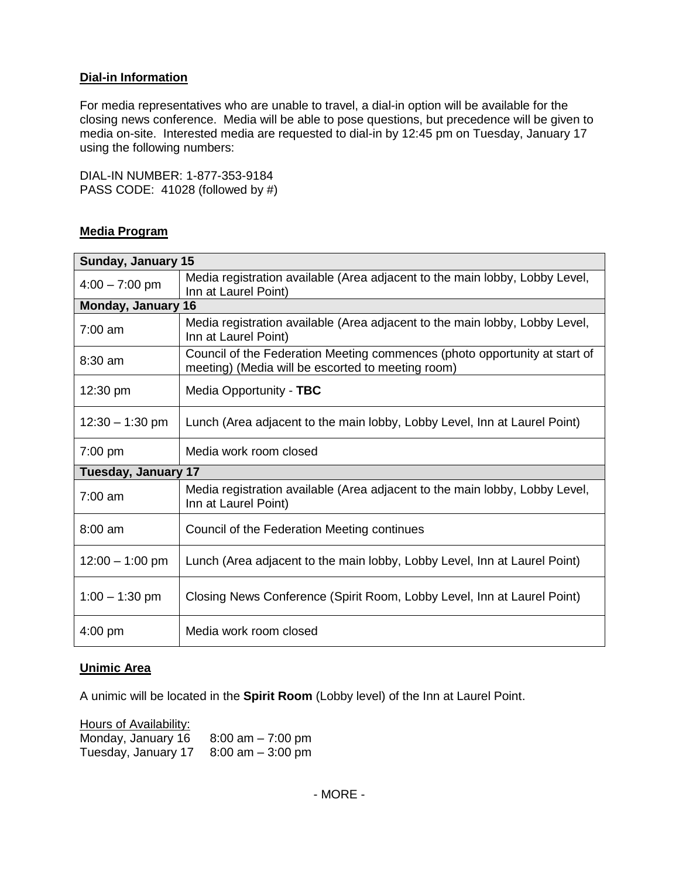## **Dial-in Information**

For media representatives who are unable to travel, a dial-in option will be available for the closing news conference. Media will be able to pose questions, but precedence will be given to media on-site. Interested media are requested to dial-in by 12:45 pm on Tuesday, January 17 using the following numbers:

DIAL-IN NUMBER: 1-877-353-9184 PASS CODE: 41028 (followed by #)

## **Media Program**

| Sunday, January 15         |                                                                                                                                 |  |
|----------------------------|---------------------------------------------------------------------------------------------------------------------------------|--|
| $4:00 - 7:00$ pm           | Media registration available (Area adjacent to the main lobby, Lobby Level,<br>Inn at Laurel Point)                             |  |
| <b>Monday, January 16</b>  |                                                                                                                                 |  |
| $7:00$ am                  | Media registration available (Area adjacent to the main lobby, Lobby Level,<br>Inn at Laurel Point)                             |  |
| $8:30$ am                  | Council of the Federation Meeting commences (photo opportunity at start of<br>meeting) (Media will be escorted to meeting room) |  |
| 12:30 pm                   | Media Opportunity - TBC                                                                                                         |  |
| $12:30 - 1:30$ pm          | Lunch (Area adjacent to the main lobby, Lobby Level, Inn at Laurel Point)                                                       |  |
| $7:00$ pm                  | Media work room closed                                                                                                          |  |
| <b>Tuesday, January 17</b> |                                                                                                                                 |  |
| $7:00$ am                  | Media registration available (Area adjacent to the main lobby, Lobby Level,<br>Inn at Laurel Point)                             |  |
| $8:00$ am                  | Council of the Federation Meeting continues                                                                                     |  |
| $12:00 - 1:00$ pm          | Lunch (Area adjacent to the main lobby, Lobby Level, Inn at Laurel Point)                                                       |  |
| $1:00 - 1:30$ pm           | Closing News Conference (Spirit Room, Lobby Level, Inn at Laurel Point)                                                         |  |
| $4:00$ pm                  | Media work room closed                                                                                                          |  |

### **Unimic Area**

A unimic will be located in the **Spirit Room** (Lobby level) of the Inn at Laurel Point.

| Hours of Availability: |                      |
|------------------------|----------------------|
| Monday, January 16     | $8:00$ am $-7:00$ pm |
| Tuesday, January 17    | $8:00$ am $-3:00$ pm |